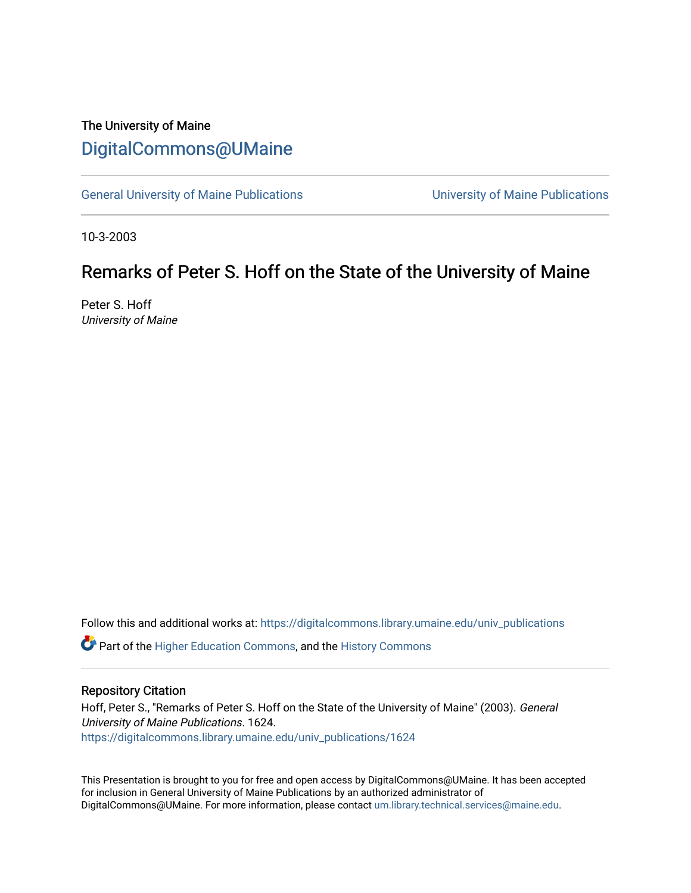## The University of Maine [DigitalCommons@UMaine](https://digitalcommons.library.umaine.edu/)

[General University of Maine Publications](https://digitalcommons.library.umaine.edu/univ_publications) [University of Maine Publications](https://digitalcommons.library.umaine.edu/umaine_publications) 

10-3-2003

# Remarks of Peter S. Hoff on the State of the University of Maine

Peter S. Hoff University of Maine

Follow this and additional works at: [https://digitalcommons.library.umaine.edu/univ\\_publications](https://digitalcommons.library.umaine.edu/univ_publications?utm_source=digitalcommons.library.umaine.edu%2Funiv_publications%2F1624&utm_medium=PDF&utm_campaign=PDFCoverPages) 

**C** Part of the [Higher Education Commons,](http://network.bepress.com/hgg/discipline/1245?utm_source=digitalcommons.library.umaine.edu%2Funiv_publications%2F1624&utm_medium=PDF&utm_campaign=PDFCoverPages) and the [History Commons](http://network.bepress.com/hgg/discipline/489?utm_source=digitalcommons.library.umaine.edu%2Funiv_publications%2F1624&utm_medium=PDF&utm_campaign=PDFCoverPages)

## Repository Citation

Hoff, Peter S., "Remarks of Peter S. Hoff on the State of the University of Maine" (2003). General University of Maine Publications. 1624. [https://digitalcommons.library.umaine.edu/univ\\_publications/1624](https://digitalcommons.library.umaine.edu/univ_publications/1624?utm_source=digitalcommons.library.umaine.edu%2Funiv_publications%2F1624&utm_medium=PDF&utm_campaign=PDFCoverPages)

This Presentation is brought to you for free and open access by DigitalCommons@UMaine. It has been accepted for inclusion in General University of Maine Publications by an authorized administrator of DigitalCommons@UMaine. For more information, please contact [um.library.technical.services@maine.edu](mailto:um.library.technical.services@maine.edu).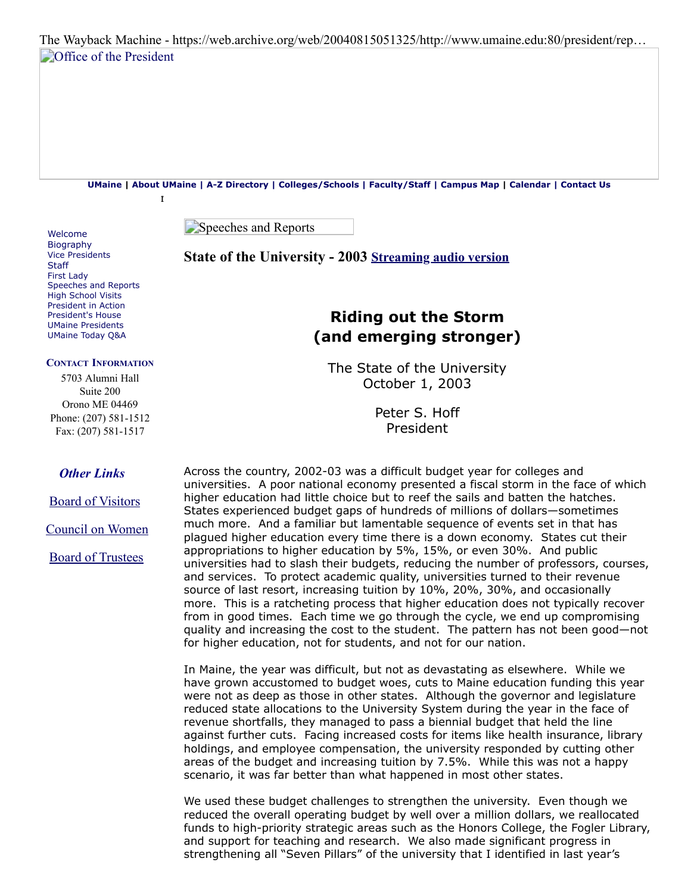The Wayback Machine - https://web.archive.org/web/20040815051325/http://www.umaine.edu:80/president/rep… **[Office of the President](https://web.archive.org/web/20040815051325/http://www.umaine.edu/president/welcome.htm)** 

**[UMaine](https://web.archive.org/web/20040815051325/http://www.umaine.edu/) | [About UMaine](https://web.archive.org/web/20040815051325/http://www.umaine.edu/greeting.htm) | [A-Z Directory](https://web.archive.org/web/20040815051325/http://www.umaine.edu/departments.htm) | [Colleges/Schools](https://web.archive.org/web/20040815051325/http://www.umaine.edu/programs.htm) | [Faculty/Staff](https://web.archive.org/web/20040815051325/http://www.ume.maine.edu/~umtel/directory/facstaff/phonedir.html) | [Campus Map](https://web.archive.org/web/20040815051325/http://www.umaine.edu/locator/default.htm) | [Calendar](https://web.archive.org/web/20040815051325/http://calendar.umaine.edu/default.asp) | [Contact Us](https://web.archive.org/web/20040815051325/http://www.umaine.edu/contact.htm)**

r

Speeches and Reports

## **State of the University - 2003 [Streaming audio version](https://web.archive.org/web/20040815051325/http://www.umaine.edu/president/reports/State%20of%20the%20University%20Aud.mp3)**

## <span id="page-1-0"></span>**Riding out the Storm (and emerging stronger)**

The State of the University October 1, 2003

> Peter S. Hoff President

Across the country, 2002-03 was a difficult budget year for colleges and universities. A poor national economy presented a fiscal storm in the face of which higher education had little choice but to reef the sails and batten the hatches. States experienced budget gaps of hundreds of millions of dollars—sometimes much more. And a familiar but lamentable sequence of events set in that has plagued higher education every time there is a down economy. States cut their appropriations to higher education by 5%, 15%, or even 30%. And public universities had to slash their budgets, reducing the number of professors, courses, and services. To protect academic quality, universities turned to their revenue source of last resort, increasing tuition by 10%, 20%, 30%, and occasionally more. This is a ratcheting process that higher education does not typically recover from in good times. Each time we go through the cycle, we end up compromising quality and increasing the cost to the student. The pattern has not been good—not for higher education, not for students, and not for our nation.

In Maine, the year was difficult, but not as devastating as elsewhere. While we have grown accustomed to budget woes, cuts to Maine education funding this year were not as deep as those in other states. Although the governor and legislature reduced state allocations to the University System during the year in the face of revenue shortfalls, they managed to pass a biennial budget that held the line against further cuts. Facing increased costs for items like health insurance, library holdings, and employee compensation, the university responded by cutting other areas of the budget and increasing tuition by 7.5%. While this was not a happy scenario, it was far better than what happened in most other states.

We used these budget challenges to strengthen the university. Even though we reduced the overall operating budget by well over a million dollars, we reallocated funds to high-priority strategic areas such as the Honors College, the Fogler Library, and support for teaching and research. We also made significant progress in strengthening all "Seven Pillars" of the university that I identified in last year's

[Welcome](https://web.archive.org/web/20040815051325/http://www.umaine.edu/president/welcome.htm) **[Biography](https://web.archive.org/web/20040815051325/http://www.umaine.edu/president/bio.htm)** [Vice Presidents](https://web.archive.org/web/20040815051325/http://www.umaine.edu/president/vicepresidents.htm) [Staff](https://web.archive.org/web/20040815051325/http://www.umaine.edu/president/staff.htm) [First Lady](https://web.archive.org/web/20040815051325/http://www.umaine.edu/president/DianneHoff.htm) [Speeches and Reports](https://web.archive.org/web/20040815051325/http://www.umaine.edu/president/speechesreports.htm) [High School Visits](https://web.archive.org/web/20040815051325/http://www.umaine.edu/president/hsvisits.htm) [President in Action](https://web.archive.org/web/20040815051325/http://www.umaine.edu/president/inaction.htm) [President's House](https://web.archive.org/web/20040815051325/http://www.umaine.edu/president/house.htm) [UMaine Presidents](https://web.archive.org/web/20040815051325/http://www.umaine.edu/president/presidents.htm) [UMaine Today Q&A](https://web.archive.org/web/20040815051325/http://www.umainetoday.umaine.edu/Issues/v2i5/hoff.html)

#### **CONTACT INFORMATION**

5703 Alumni Hall l Suite 200 Orono ME 04469 Phone: (207) 581-1512 Fax: (207) 581-1517

## *Other Links*

[Board of Visitors](https://web.archive.org/web/20040815051325/http://www.umaine.edu/BOV/)

[Council on Women](https://web.archive.org/web/20040815051325/http://www.ume.maine.edu/PCW/)

[Board of Trustees](https://web.archive.org/web/20040815051325/http://www.maine.edu/bot3.html)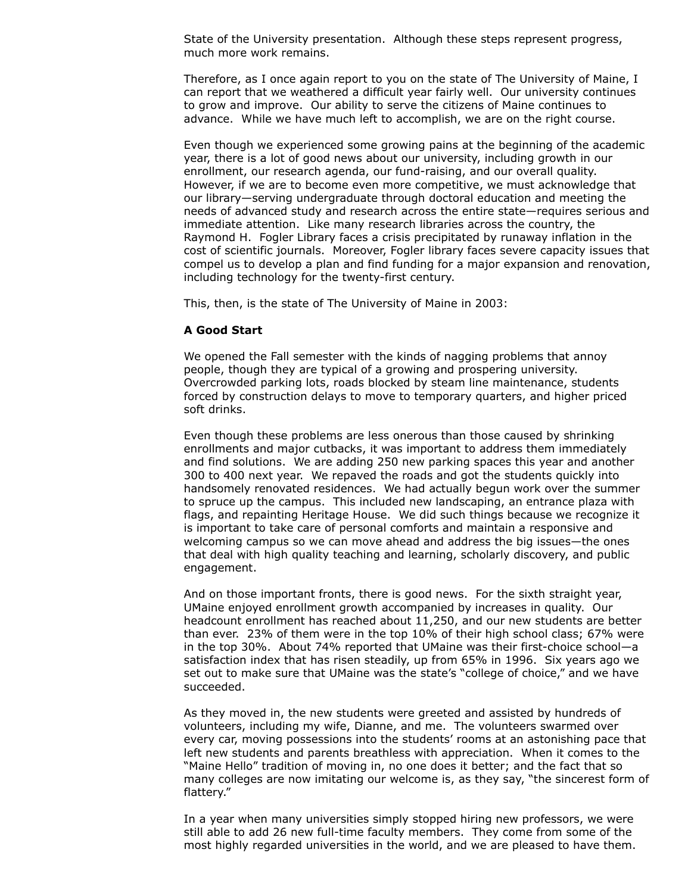State of the University presentation. Although these steps represent progress, much more work remains.

Therefore, as I once again report to you on the state of The University of Maine, I can report that we weathered a difficult year fairly well. Our university continues to grow and improve. Our ability to serve the citizens of Maine continues to advance. While we have much left to accomplish, we are on the right course.

Even though we experienced some growing pains at the beginning of the academic year, there is a lot of good news about our university, including growth in our enrollment, our research agenda, our fund-raising, and our overall quality. However, if we are to become even more competitive, we must acknowledge that our library—serving undergraduate through doctoral education and meeting the needs of advanced study and research across the entire state—requires serious and immediate attention. Like many research libraries across the country, the Raymond H. Fogler Library faces a crisis precipitated by runaway inflation in the cost of scientific journals. Moreover, Fogler library faces severe capacity issues that compel us to develop a plan and find funding for a major expansion and renovation, including technology for the twenty-first century.

This, then, is the state of The University of Maine in 2003:

## **A Good Start**

We opened the Fall semester with the kinds of nagging problems that annoy people, though they are typical of a growing and prospering university. Overcrowded parking lots, roads blocked by steam line maintenance, students forced by construction delays to move to temporary quarters, and higher priced soft drinks.

Even though these problems are less onerous than those caused by shrinking enrollments and major cutbacks, it was important to address them immediately and find solutions. We are adding 250 new parking spaces this year and another 300 to 400 next year. We repaved the roads and got the students quickly into handsomely renovated residences. We had actually begun work over the summer to spruce up the campus. This included new landscaping, an entrance plaza with flags, and repainting Heritage House. We did such things because we recognize it is important to take care of personal comforts and maintain a responsive and welcoming campus so we can move ahead and address the big issues—the ones that deal with high quality teaching and learning, scholarly discovery, and public engagement.

And on those important fronts, there is good news. For the sixth straight year, UMaine enjoyed enrollment growth accompanied by increases in quality. Our headcount enrollment has reached about 11,250, and our new students are better than ever. 23% of them were in the top 10% of their high school class; 67% were in the top 30%. About 74% reported that UMaine was their first-choice school—a satisfaction index that has risen steadily, up from 65% in 1996. Six years ago we set out to make sure that UMaine was the state's "college of choice," and we have succeeded.

As they moved in, the new students were greeted and assisted by hundreds of volunteers, including my wife, Dianne, and me. The volunteers swarmed over every car, moving possessions into the students' rooms at an astonishing pace that left new students and parents breathless with appreciation. When it comes to the "Maine Hello" tradition of moving in, no one does it better; and the fact that so many colleges are now imitating our welcome is, as they say, "the sincerest form of flattery."

In a year when many universities simply stopped hiring new professors, we were still able to add 26 new full-time faculty members. They come from some of the most highly regarded universities in the world, and we are pleased to have them.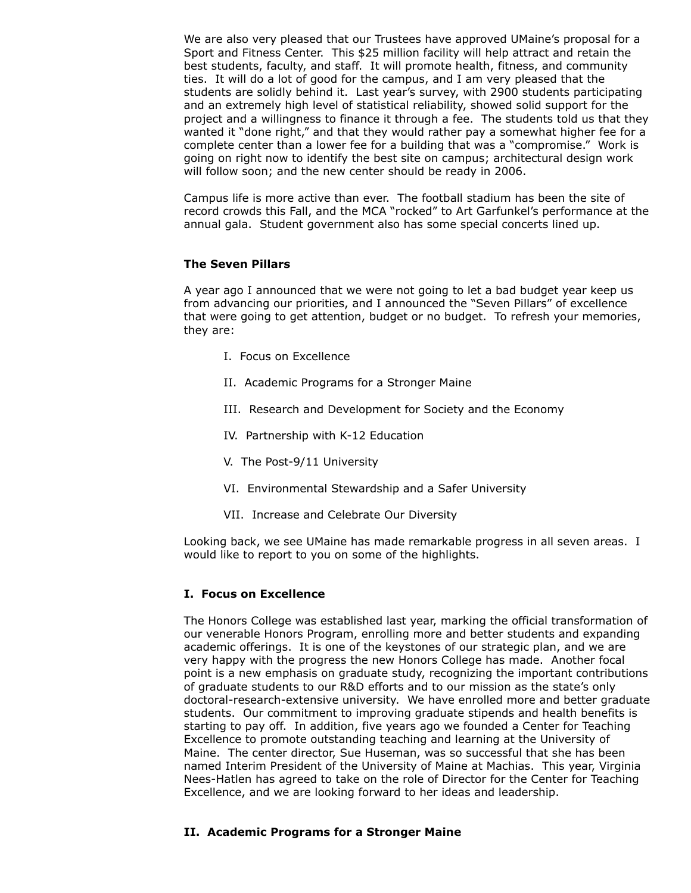We are also very pleased that our Trustees have approved UMaine's proposal for a Sport and Fitness Center. This \$25 million facility will help attract and retain the best students, faculty, and staff. It will promote health, fitness, and community ties. It will do a lot of good for the campus, and I am very pleased that the students are solidly behind it. Last year's survey, with 2900 students participating and an extremely high level of statistical reliability, showed solid support for the project and a willingness to finance it through a fee. The students told us that they wanted it "done right," and that they would rather pay a somewhat higher fee for a complete center than a lower fee for a building that was a "compromise." Work is going on right now to identify the best site on campus; architectural design work will follow soon; and the new center should be ready in 2006.

Campus life is more active than ever. The football stadium has been the site of record crowds this Fall, and the MCA "rocked" to Art Garfunkel's performance at the annual gala. Student government also has some special concerts lined up.

## **The Seven Pillars**

A year ago I announced that we were not going to let a bad budget year keep us from advancing our priorities, and I announced the "Seven Pillars" of excellence that were going to get attention, budget or no budget. To refresh your memories, they are:

- I. Focus on Excellence
- II. Academic Programs for a Stronger Maine
- III. Research and Development for Society and the Economy
- IV. Partnership with K-12 Education
- V. The Post-9/11 University
- VI. Environmental Stewardship and a Safer University
- VII. Increase and Celebrate Our Diversity

Looking back, we see UMaine has made remarkable progress in all seven areas. I would like to report to you on some of the highlights.

## **I. Focus on Excellence**

The Honors College was established last year, marking the official transformation of our venerable Honors Program, enrolling more and better students and expanding academic offerings. It is one of the keystones of our strategic plan, and we are very happy with the progress the new Honors College has made. Another focal point is a new emphasis on graduate study, recognizing the important contributions of graduate students to our R&D efforts and to our mission as the state's only doctoral-research-extensive university. We have enrolled more and better graduate students. Our commitment to improving graduate stipends and health benefits is starting to pay off. In addition, five years ago we founded a Center for Teaching Excellence to promote outstanding teaching and learning at the University of Maine. The center director, Sue Huseman, was so successful that she has been named Interim President of the University of Maine at Machias. This year, Virginia Nees-Hatlen has agreed to take on the role of Director for the Center for Teaching Excellence, and we are looking forward to her ideas and leadership.

## **II. Academic Programs for a Stronger Maine**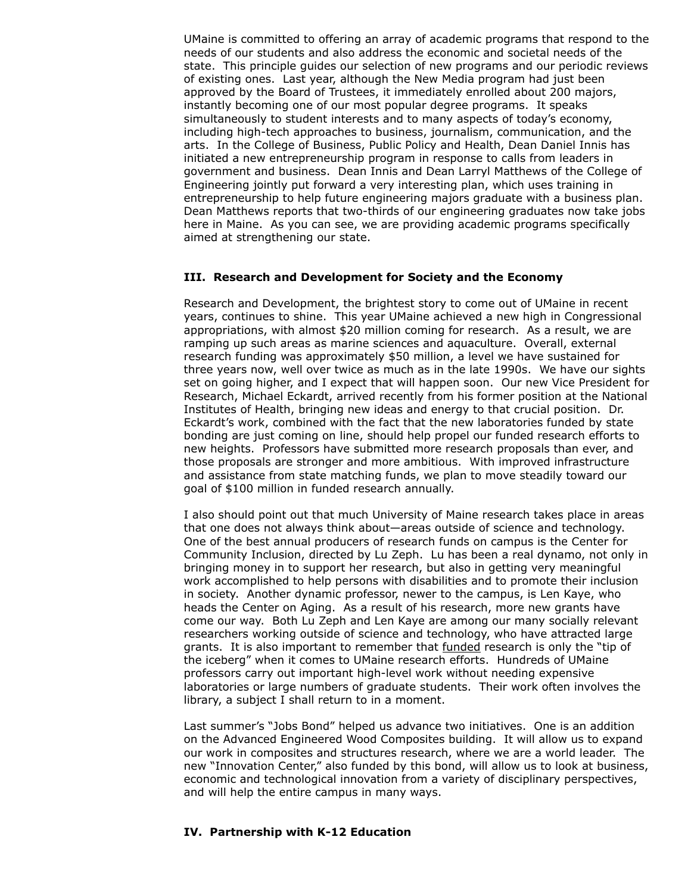UMaine is committed to offering an array of academic programs that respond to the needs of our students and also address the economic and societal needs of the state. This principle guides our selection of new programs and our periodic reviews of existing ones. Last year, although the New Media program had just been approved by the Board of Trustees, it immediately enrolled about 200 majors, instantly becoming one of our most popular degree programs. It speaks simultaneously to student interests and to many aspects of today's economy, including high-tech approaches to business, journalism, communication, and the arts. In the College of Business, Public Policy and Health, Dean Daniel Innis has initiated a new entrepreneurship program in response to calls from leaders in government and business. Dean Innis and Dean Larryl Matthews of the College of Engineering jointly put forward a very interesting plan, which uses training in entrepreneurship to help future engineering majors graduate with a business plan. Dean Matthews reports that two-thirds of our engineering graduates now take jobs here in Maine. As you can see, we are providing academic programs specifically aimed at strengthening our state.

#### **III. Research and Development for Society and the Economy**

Research and Development, the brightest story to come out of UMaine in recent years, continues to shine. This year UMaine achieved a new high in Congressional appropriations, with almost \$20 million coming for research. As a result, we are ramping up such areas as marine sciences and aquaculture. Overall, external research funding was approximately \$50 million, a level we have sustained for three years now, well over twice as much as in the late 1990s. We have our sights set on going higher, and I expect that will happen soon. Our new Vice President for Research, Michael Eckardt, arrived recently from his former position at the National Institutes of Health, bringing new ideas and energy to that crucial position. Dr. Eckardt's work, combined with the fact that the new laboratories funded by state bonding are just coming on line, should help propel our funded research efforts to new heights. Professors have submitted more research proposals than ever, and those proposals are stronger and more ambitious. With improved infrastructure and assistance from state matching funds, we plan to move steadily toward our goal of \$100 million in funded research annually.

I also should point out that much University of Maine research takes place in areas that one does not always think about—areas outside of science and technology. One of the best annual producers of research funds on campus is the Center for Community Inclusion, directed by Lu Zeph. Lu has been a real dynamo, not only in bringing money in to support her research, but also in getting very meaningful work accomplished to help persons with disabilities and to promote their inclusion in society. Another dynamic professor, newer to the campus, is Len Kaye, who heads the Center on Aging. As a result of his research, more new grants have come our way. Both Lu Zeph and Len Kaye are among our many socially relevant researchers working outside of science and technology, who have attracted large grants. It is also important to remember that funded research is only the "tip of the iceberg" when it comes to UMaine research efforts. Hundreds of UMaine professors carry out important high-level work without needing expensive laboratories or large numbers of graduate students. Their work often involves the library, a subject I shall return to in a moment.

Last summer's "Jobs Bond" helped us advance two initiatives. One is an addition on the Advanced Engineered Wood Composites building. It will allow us to expand our work in composites and structures research, where we are a world leader. The new "Innovation Center," also funded by this bond, will allow us to look at business, economic and technological innovation from a variety of disciplinary perspectives, and will help the entire campus in many ways.

#### **IV. Partnership with K-12 Education**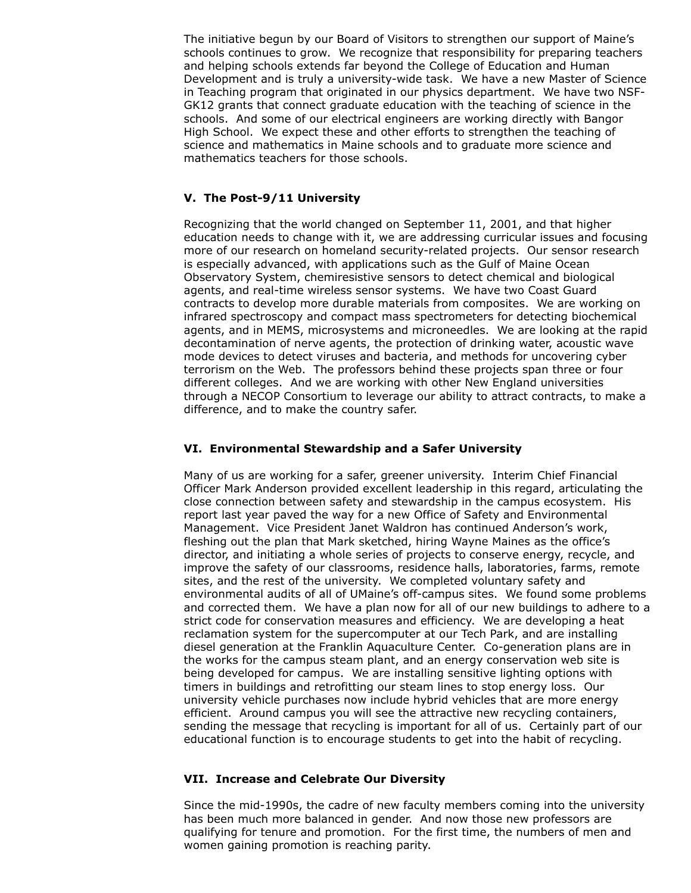The initiative begun by our Board of Visitors to strengthen our support of Maine's schools continues to grow. We recognize that responsibility for preparing teachers and helping schools extends far beyond the College of Education and Human Development and is truly a university-wide task. We have a new Master of Science in Teaching program that originated in our physics department. We have two NSF-GK12 grants that connect graduate education with the teaching of science in the schools. And some of our electrical engineers are working directly with Bangor High School. We expect these and other efforts to strengthen the teaching of science and mathematics in Maine schools and to graduate more science and mathematics teachers for those schools.

## **V. The Post-9/11 University**

Recognizing that the world changed on September 11, 2001, and that higher education needs to change with it, we are addressing curricular issues and focusing more of our research on homeland security-related projects. Our sensor research is especially advanced, with applications such as the Gulf of Maine Ocean Observatory System, chemiresistive sensors to detect chemical and biological agents, and real-time wireless sensor systems. We have two Coast Guard contracts to develop more durable materials from composites. We are working on infrared spectroscopy and compact mass spectrometers for detecting biochemical agents, and in MEMS, microsystems and microneedles. We are looking at the rapid decontamination of nerve agents, the protection of drinking water, acoustic wave mode devices to detect viruses and bacteria, and methods for uncovering cyber terrorism on the Web. The professors behind these projects span three or four different colleges. And we are working with other New England universities through a NECOP Consortium to leverage our ability to attract contracts, to make a difference, and to make the country safer.

## **VI. Environmental Stewardship and a Safer University**

Many of us are working for a safer, greener university. Interim Chief Financial Officer Mark Anderson provided excellent leadership in this regard, articulating the close connection between safety and stewardship in the campus ecosystem. His report last year paved the way for a new Office of Safety and Environmental Management. Vice President Janet Waldron has continued Anderson's work, fleshing out the plan that Mark sketched, hiring Wayne Maines as the office's director, and initiating a whole series of projects to conserve energy, recycle, and improve the safety of our classrooms, residence halls, laboratories, farms, remote sites, and the rest of the university. We completed voluntary safety and environmental audits of all of UMaine's off-campus sites. We found some problems and corrected them. We have a plan now for all of our new buildings to adhere to a strict code for conservation measures and efficiency. We are developing a heat reclamation system for the supercomputer at our Tech Park, and are installing diesel generation at the Franklin Aquaculture Center. Co-generation plans are in the works for the campus steam plant, and an energy conservation web site is being developed for campus. We are installing sensitive lighting options with timers in buildings and retrofitting our steam lines to stop energy loss. Our university vehicle purchases now include hybrid vehicles that are more energy efficient. Around campus you will see the attractive new recycling containers, sending the message that recycling is important for all of us. Certainly part of our educational function is to encourage students to get into the habit of recycling.

## **VII. Increase and Celebrate Our Diversity**

Since the mid-1990s, the cadre of new faculty members coming into the university has been much more balanced in gender. And now those new professors are qualifying for tenure and promotion. For the first time, the numbers of men and women gaining promotion is reaching parity.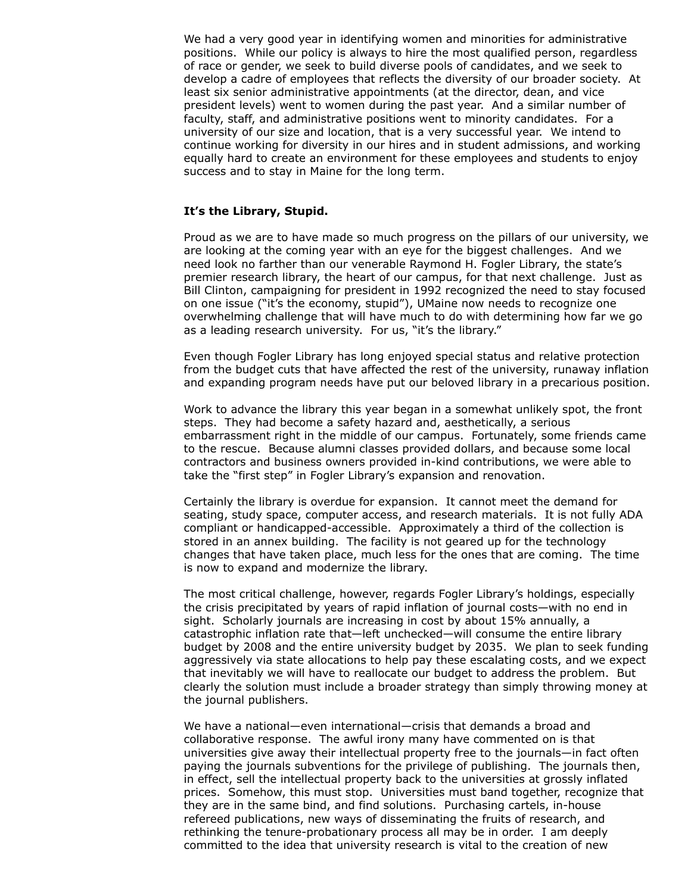We had a very good year in identifying women and minorities for administrative positions. While our policy is always to hire the most qualified person, regardless of race or gender, we seek to build diverse pools of candidates, and we seek to develop a cadre of employees that reflects the diversity of our broader society. At least six senior administrative appointments (at the director, dean, and vice president levels) went to women during the past year. And a similar number of faculty, staff, and administrative positions went to minority candidates. For a university of our size and location, that is a very successful year. We intend to continue working for diversity in our hires and in student admissions, and working equally hard to create an environment for these employees and students to enjoy success and to stay in Maine for the long term.

### **It's the Library, Stupid.**

Proud as we are to have made so much progress on the pillars of our university, we are looking at the coming year with an eye for the biggest challenges. And we need look no farther than our venerable Raymond H. Fogler Library, the state's premier research library, the heart of our campus, for that next challenge. Just as Bill Clinton, campaigning for president in 1992 recognized the need to stay focused on one issue ("it's the economy, stupid"), UMaine now needs to recognize one overwhelming challenge that will have much to do with determining how far we go as a leading research university. For us, "it's the library."

Even though Fogler Library has long enjoyed special status and relative protection from the budget cuts that have affected the rest of the university, runaway inflation and expanding program needs have put our beloved library in a precarious position.

Work to advance the library this year began in a somewhat unlikely spot, the front steps. They had become a safety hazard and, aesthetically, a serious embarrassment right in the middle of our campus. Fortunately, some friends came to the rescue. Because alumni classes provided dollars, and because some local contractors and business owners provided in-kind contributions, we were able to take the "first step" in Fogler Library's expansion and renovation.

Certainly the library is overdue for expansion. It cannot meet the demand for seating, study space, computer access, and research materials. It is not fully ADA compliant or handicapped-accessible. Approximately a third of the collection is stored in an annex building. The facility is not geared up for the technology changes that have taken place, much less for the ones that are coming. The time is now to expand and modernize the library.

The most critical challenge, however, regards Fogler Library's holdings, especially the crisis precipitated by years of rapid inflation of journal costs—with no end in sight. Scholarly journals are increasing in cost by about 15% annually, a catastrophic inflation rate that—left unchecked—will consume the entire library budget by 2008 and the entire university budget by 2035. We plan to seek funding aggressively via state allocations to help pay these escalating costs, and we expect that inevitably we will have to reallocate our budget to address the problem. But clearly the solution must include a broader strategy than simply throwing money at the journal publishers.

We have a national—even international—crisis that demands a broad and collaborative response. The awful irony many have commented on is that universities give away their intellectual property free to the journals—in fact often paying the journals subventions for the privilege of publishing. The journals then, in effect, sell the intellectual property back to the universities at grossly inflated prices. Somehow, this must stop. Universities must band together, recognize that they are in the same bind, and find solutions. Purchasing cartels, in-house refereed publications, new ways of disseminating the fruits of research, and rethinking the tenure-probationary process all may be in order. I am deeply committed to the idea that university research is vital to the creation of new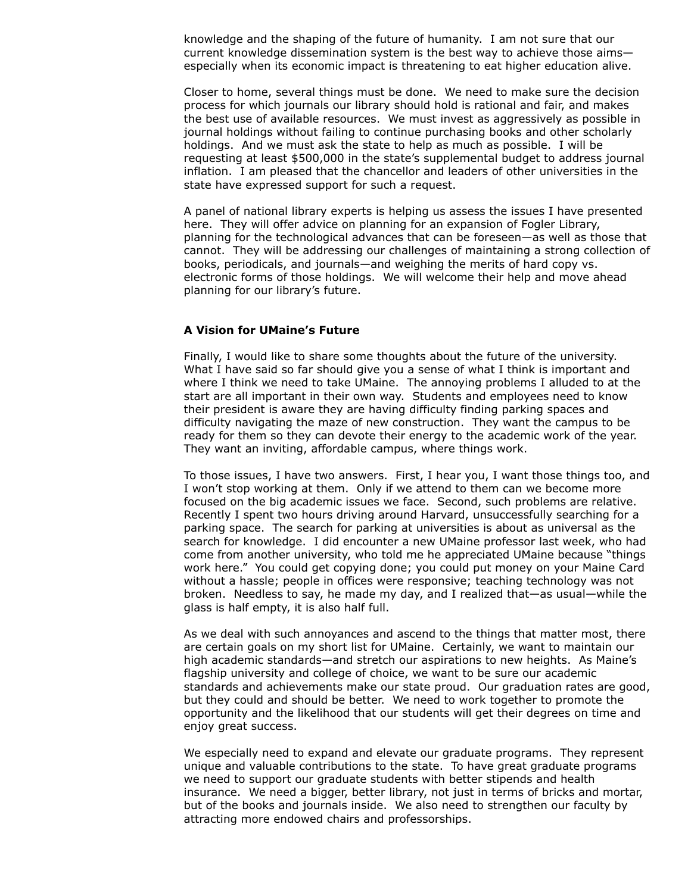knowledge and the shaping of the future of humanity. I am not sure that our current knowledge dissemination system is the best way to achieve those aims especially when its economic impact is threatening to eat higher education alive.

Closer to home, several things must be done. We need to make sure the decision process for which journals our library should hold is rational and fair, and makes the best use of available resources. We must invest as aggressively as possible in journal holdings without failing to continue purchasing books and other scholarly holdings. And we must ask the state to help as much as possible. I will be requesting at least \$500,000 in the state's supplemental budget to address journal inflation. I am pleased that the chancellor and leaders of other universities in the state have expressed support for such a request.

A panel of national library experts is helping us assess the issues I have presented here. They will offer advice on planning for an expansion of Fogler Library, planning for the technological advances that can be foreseen—as well as those that cannot. They will be addressing our challenges of maintaining a strong collection of books, periodicals, and journals—and weighing the merits of hard copy vs. electronic forms of those holdings. We will welcome their help and move ahead planning for our library's future.

#### **A Vision for UMaine's Future**

Finally, I would like to share some thoughts about the future of the university. What I have said so far should give you a sense of what I think is important and where I think we need to take UMaine. The annoying problems I alluded to at the start are all important in their own way. Students and employees need to know their president is aware they are having difficulty finding parking spaces and difficulty navigating the maze of new construction. They want the campus to be ready for them so they can devote their energy to the academic work of the year. They want an inviting, affordable campus, where things work.

To those issues, I have two answers. First, I hear you, I want those things too, and I won't stop working at them. Only if we attend to them can we become more focused on the big academic issues we face. Second, such problems are relative. Recently I spent two hours driving around Harvard, unsuccessfully searching for a parking space. The search for parking at universities is about as universal as the search for knowledge. I did encounter a new UMaine professor last week, who had come from another university, who told me he appreciated UMaine because "things work here." You could get copying done; you could put money on your Maine Card without a hassle; people in offices were responsive; teaching technology was not broken. Needless to say, he made my day, and I realized that—as usual—while the glass is half empty, it is also half full.

As we deal with such annoyances and ascend to the things that matter most, there are certain goals on my short list for UMaine. Certainly, we want to maintain our high academic standards—and stretch our aspirations to new heights. As Maine's flagship university and college of choice, we want to be sure our academic standards and achievements make our state proud. Our graduation rates are good, but they could and should be better. We need to work together to promote the opportunity and the likelihood that our students will get their degrees on time and enjoy great success.

We especially need to expand and elevate our graduate programs. They represent unique and valuable contributions to the state. To have great graduate programs we need to support our graduate students with better stipends and health insurance. We need a bigger, better library, not just in terms of bricks and mortar, but of the books and journals inside. We also need to strengthen our faculty by attracting more endowed chairs and professorships.